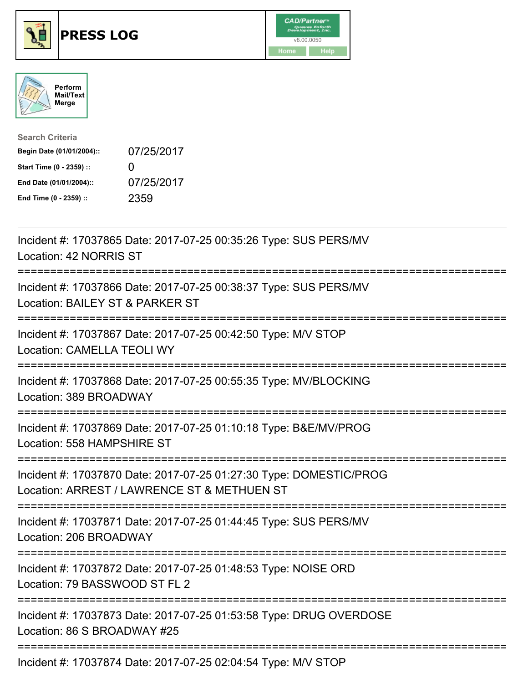





| <b>Search Criteria</b>    |              |
|---------------------------|--------------|
| Begin Date (01/01/2004):: | 07/25/2017   |
| Start Time (0 - 2359) ::  | $\mathbf{I}$ |
| End Date (01/01/2004)::   | 07/25/2017   |
| End Time (0 - 2359) ::    | 2359         |

| Incident #: 17037865 Date: 2017-07-25 00:35:26 Type: SUS PERS/MV<br>Location: 42 NORRIS ST                        |
|-------------------------------------------------------------------------------------------------------------------|
| Incident #: 17037866 Date: 2017-07-25 00:38:37 Type: SUS PERS/MV<br>Location: BAILEY ST & PARKER ST               |
| Incident #: 17037867 Date: 2017-07-25 00:42:50 Type: M/V STOP<br><b>Location: CAMELLA TEOLI WY</b><br>----------- |
| Incident #: 17037868 Date: 2017-07-25 00:55:35 Type: MV/BLOCKING<br>Location: 389 BROADWAY                        |
| Incident #: 17037869 Date: 2017-07-25 01:10:18 Type: B&E/MV/PROG<br>Location: 558 HAMPSHIRE ST                    |
| Incident #: 17037870 Date: 2017-07-25 01:27:30 Type: DOMESTIC/PROG<br>Location: ARREST / LAWRENCE ST & METHUEN ST |
| Incident #: 17037871 Date: 2017-07-25 01:44:45 Type: SUS PERS/MV<br>Location: 206 BROADWAY                        |
| Incident #: 17037872 Date: 2017-07-25 01:48:53 Type: NOISE ORD<br>Location: 79 BASSWOOD ST FL 2                   |
| Incident #: 17037873 Date: 2017-07-25 01:53:58 Type: DRUG OVERDOSE<br>Location: 86 S BROADWAY #25                 |
| Incident #: 17037874 Date: 2017-07-25 02:04:54 Type: M/V STOP                                                     |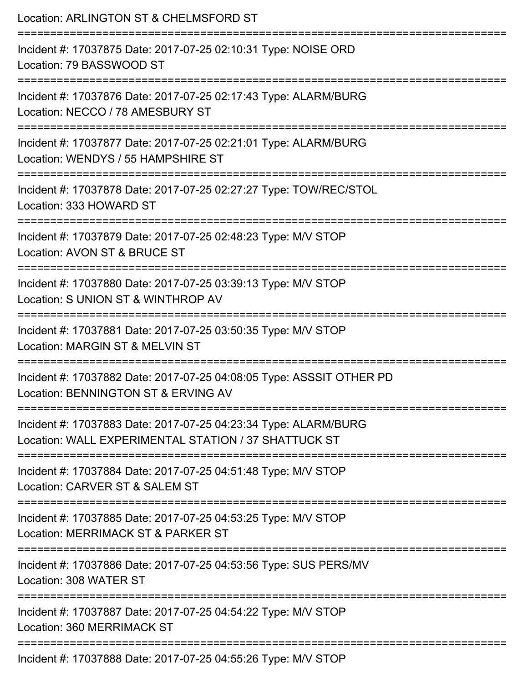| Location: ARLINGTON ST & CHELMSFORD ST                                                                                        |
|-------------------------------------------------------------------------------------------------------------------------------|
| Incident #: 17037875 Date: 2017-07-25 02:10:31 Type: NOISE ORD<br>Location: 79 BASSWOOD ST                                    |
| Incident #: 17037876 Date: 2017-07-25 02:17:43 Type: ALARM/BURG<br>Location: NECCO / 78 AMESBURY ST                           |
| Incident #: 17037877 Date: 2017-07-25 02:21:01 Type: ALARM/BURG<br>Location: WENDYS / 55 HAMPSHIRE ST                         |
| Incident #: 17037878 Date: 2017-07-25 02:27:27 Type: TOW/REC/STOL<br>Location: 333 HOWARD ST                                  |
| Incident #: 17037879 Date: 2017-07-25 02:48:23 Type: M/V STOP<br>Location: AVON ST & BRUCE ST                                 |
| ;=====================<br>Incident #: 17037880 Date: 2017-07-25 03:39:13 Type: M/V STOP<br>Location: S UNION ST & WINTHROP AV |
| Incident #: 17037881 Date: 2017-07-25 03:50:35 Type: M/V STOP<br>Location: MARGIN ST & MELVIN ST                              |
| Incident #: 17037882 Date: 2017-07-25 04:08:05 Type: ASSSIT OTHER PD<br>Location: BENNINGTON ST & ERVING AV                   |
| Incident #: 17037883 Date: 2017-07-25 04:23:34 Type: ALARM/BURG<br>Location: WALL EXPERIMENTAL STATION / 37 SHATTUCK ST       |
| Incident #: 17037884 Date: 2017-07-25 04:51:48 Type: M/V STOP<br>Location: CARVER ST & SALEM ST                               |
| Incident #: 17037885 Date: 2017-07-25 04:53:25 Type: M/V STOP<br>Location: MERRIMACK ST & PARKER ST                           |
| Incident #: 17037886 Date: 2017-07-25 04:53:56 Type: SUS PERS/MV<br>Location: 308 WATER ST                                    |
| Incident #: 17037887 Date: 2017-07-25 04:54:22 Type: M/V STOP<br>Location: 360 MERRIMACK ST                                   |
| Incident #: 17037888 Date: 2017-07-25 04:55:26 Type: M/V STOP                                                                 |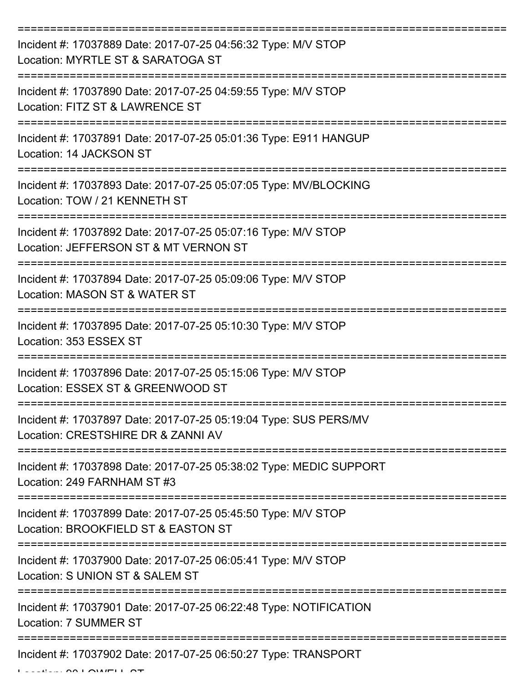| Incident #: 17037889 Date: 2017-07-25 04:56:32 Type: M/V STOP<br>Location: MYRTLE ST & SARATOGA ST     |
|--------------------------------------------------------------------------------------------------------|
| Incident #: 17037890 Date: 2017-07-25 04:59:55 Type: M/V STOP<br>Location: FITZ ST & LAWRENCE ST       |
| Incident #: 17037891 Date: 2017-07-25 05:01:36 Type: E911 HANGUP<br>Location: 14 JACKSON ST            |
| Incident #: 17037893 Date: 2017-07-25 05:07:05 Type: MV/BLOCKING<br>Location: TOW / 21 KENNETH ST      |
| Incident #: 17037892 Date: 2017-07-25 05:07:16 Type: M/V STOP<br>Location: JEFFERSON ST & MT VERNON ST |
| Incident #: 17037894 Date: 2017-07-25 05:09:06 Type: M/V STOP<br>Location: MASON ST & WATER ST         |
| Incident #: 17037895 Date: 2017-07-25 05:10:30 Type: M/V STOP<br>Location: 353 ESSEX ST                |
| Incident #: 17037896 Date: 2017-07-25 05:15:06 Type: M/V STOP<br>Location: ESSEX ST & GREENWOOD ST     |
| Incident #: 17037897 Date: 2017-07-25 05:19:04 Type: SUS PERS/MV<br>Location: CRESTSHIRE DR & ZANNI AV |
| Incident #: 17037898 Date: 2017-07-25 05:38:02 Type: MEDIC SUPPORT<br>Location: 249 FARNHAM ST #3      |
| Incident #: 17037899 Date: 2017-07-25 05:45:50 Type: M/V STOP<br>Location: BROOKFIELD ST & EASTON ST   |
| Incident #: 17037900 Date: 2017-07-25 06:05:41 Type: M/V STOP<br>Location: S UNION ST & SALEM ST       |
| Incident #: 17037901 Date: 2017-07-25 06:22:48 Type: NOTIFICATION<br>Location: 7 SUMMER ST             |
| Incident #: 17037902 Date: 2017-07-25 06:50:27 Type: TRANSPORT                                         |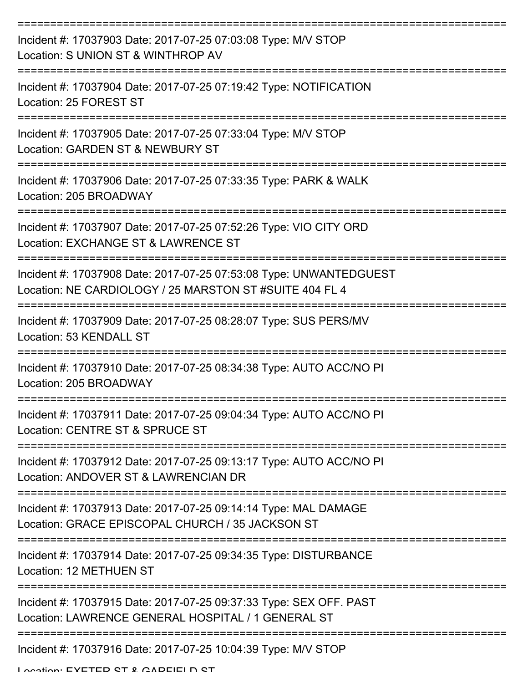| Incident #: 17037903 Date: 2017-07-25 07:03:08 Type: M/V STOP<br>Location: S UNION ST & WINTHROP AV                           |
|-------------------------------------------------------------------------------------------------------------------------------|
| Incident #: 17037904 Date: 2017-07-25 07:19:42 Type: NOTIFICATION<br>Location: 25 FOREST ST                                   |
| Incident #: 17037905 Date: 2017-07-25 07:33:04 Type: M/V STOP<br>Location: GARDEN ST & NEWBURY ST                             |
| Incident #: 17037906 Date: 2017-07-25 07:33:35 Type: PARK & WALK<br>Location: 205 BROADWAY                                    |
| Incident #: 17037907 Date: 2017-07-25 07:52:26 Type: VIO CITY ORD<br>Location: EXCHANGE ST & LAWRENCE ST                      |
| Incident #: 17037908 Date: 2017-07-25 07:53:08 Type: UNWANTEDGUEST<br>Location: NE CARDIOLOGY / 25 MARSTON ST #SUITE 404 FL 4 |
| --------------------<br>Incident #: 17037909 Date: 2017-07-25 08:28:07 Type: SUS PERS/MV<br>Location: 53 KENDALL ST           |
| Incident #: 17037910 Date: 2017-07-25 08:34:38 Type: AUTO ACC/NO PI<br>Location: 205 BROADWAY                                 |
| Incident #: 17037911 Date: 2017-07-25 09:04:34 Type: AUTO ACC/NO PI<br>Location: CENTRE ST & SPRUCE ST                        |
| Incident #: 17037912 Date: 2017-07-25 09:13:17 Type: AUTO ACC/NO PI<br>Location: ANDOVER ST & LAWRENCIAN DR                   |
| Incident #: 17037913 Date: 2017-07-25 09:14:14 Type: MAL DAMAGE<br>Location: GRACE EPISCOPAL CHURCH / 35 JACKSON ST           |
| Incident #: 17037914 Date: 2017-07-25 09:34:35 Type: DISTURBANCE<br>Location: 12 METHUEN ST                                   |
| Incident #: 17037915 Date: 2017-07-25 09:37:33 Type: SEX OFF. PAST<br>Location: LAWRENCE GENERAL HOSPITAL / 1 GENERAL ST      |
| Incident #: 17037916 Date: 2017-07-25 10:04:39 Type: M/V STOP<br>Location: EVETED CT & CADEIEI N CT                           |
|                                                                                                                               |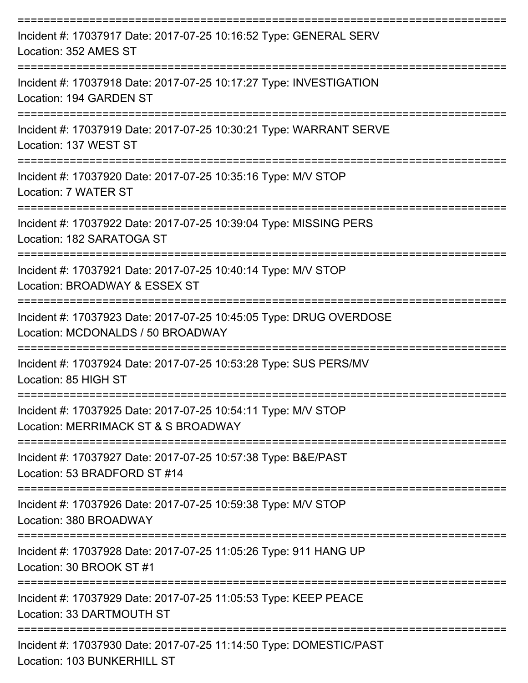| Incident #: 17037917 Date: 2017-07-25 10:16:52 Type: GENERAL SERV<br>Location: 352 AMES ST              |
|---------------------------------------------------------------------------------------------------------|
| Incident #: 17037918 Date: 2017-07-25 10:17:27 Type: INVESTIGATION<br>Location: 194 GARDEN ST           |
| Incident #: 17037919 Date: 2017-07-25 10:30:21 Type: WARRANT SERVE<br>Location: 137 WEST ST             |
| Incident #: 17037920 Date: 2017-07-25 10:35:16 Type: M/V STOP<br>Location: 7 WATER ST                   |
| Incident #: 17037922 Date: 2017-07-25 10:39:04 Type: MISSING PERS<br>Location: 182 SARATOGA ST          |
| Incident #: 17037921 Date: 2017-07-25 10:40:14 Type: M/V STOP<br>Location: BROADWAY & ESSEX ST          |
| Incident #: 17037923 Date: 2017-07-25 10:45:05 Type: DRUG OVERDOSE<br>Location: MCDONALDS / 50 BROADWAY |
| Incident #: 17037924 Date: 2017-07-25 10:53:28 Type: SUS PERS/MV<br>Location: 85 HIGH ST                |
| Incident #: 17037925 Date: 2017-07-25 10:54:11 Type: M/V STOP<br>Location: MERRIMACK ST & S BROADWAY    |
| Incident #: 17037927 Date: 2017-07-25 10:57:38 Type: B&E/PAST<br>Location: 53 BRADFORD ST #14           |
| Incident #: 17037926 Date: 2017-07-25 10:59:38 Type: M/V STOP<br>Location: 380 BROADWAY                 |
| Incident #: 17037928 Date: 2017-07-25 11:05:26 Type: 911 HANG UP<br>Location: 30 BROOK ST #1            |
| Incident #: 17037929 Date: 2017-07-25 11:05:53 Type: KEEP PEACE<br>Location: 33 DARTMOUTH ST            |
| Incident #: 17037930 Date: 2017-07-25 11:14:50 Type: DOMESTIC/PAST<br>Location: 103 BUNKERHILL ST       |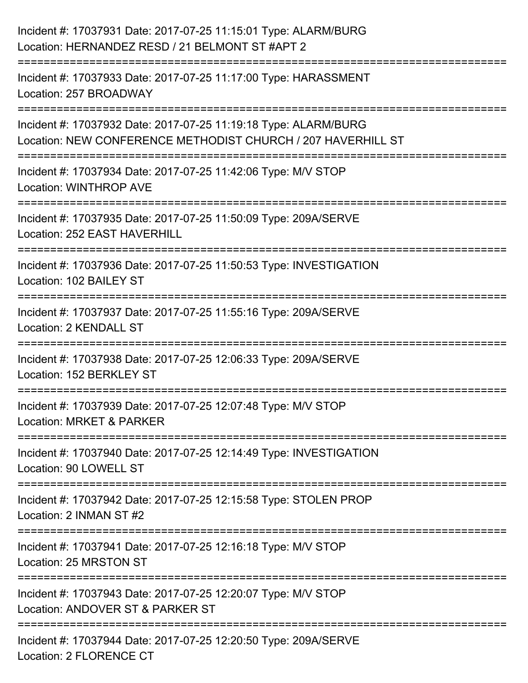| Incident #: 17037931 Date: 2017-07-25 11:15:01 Type: ALARM/BURG<br>Location: HERNANDEZ RESD / 21 BELMONT ST #APT 2                                           |
|--------------------------------------------------------------------------------------------------------------------------------------------------------------|
| =================================<br>--------------------------<br>Incident #: 17037933 Date: 2017-07-25 11:17:00 Type: HARASSMENT<br>Location: 257 BROADWAY |
| Incident #: 17037932 Date: 2017-07-25 11:19:18 Type: ALARM/BURG<br>Location: NEW CONFERENCE METHODIST CHURCH / 207 HAVERHILL ST                              |
| Incident #: 17037934 Date: 2017-07-25 11:42:06 Type: M/V STOP<br><b>Location: WINTHROP AVE</b>                                                               |
| Incident #: 17037935 Date: 2017-07-25 11:50:09 Type: 209A/SERVE<br>Location: 252 EAST HAVERHILL                                                              |
| Incident #: 17037936 Date: 2017-07-25 11:50:53 Type: INVESTIGATION<br>Location: 102 BAILEY ST                                                                |
| Incident #: 17037937 Date: 2017-07-25 11:55:16 Type: 209A/SERVE<br><b>Location: 2 KENDALL ST</b>                                                             |
| Incident #: 17037938 Date: 2017-07-25 12:06:33 Type: 209A/SERVE<br>Location: 152 BERKLEY ST                                                                  |
| Incident #: 17037939 Date: 2017-07-25 12:07:48 Type: M/V STOP<br>Location: MRKET & PARKER                                                                    |
| Incident #: 17037940 Date: 2017-07-25 12:14:49 Type: INVESTIGATION<br>Location: 90 LOWELL ST                                                                 |
| Incident #: 17037942 Date: 2017-07-25 12:15:58 Type: STOLEN PROP<br>Location: 2 INMAN ST #2                                                                  |
| Incident #: 17037941 Date: 2017-07-25 12:16:18 Type: M/V STOP<br>Location: 25 MRSTON ST                                                                      |
| Incident #: 17037943 Date: 2017-07-25 12:20:07 Type: M/V STOP<br>Location: ANDOVER ST & PARKER ST                                                            |
| Incident #: 17037944 Date: 2017-07-25 12:20:50 Type: 209A/SERVE<br>Location: 2 FLORENCE CT                                                                   |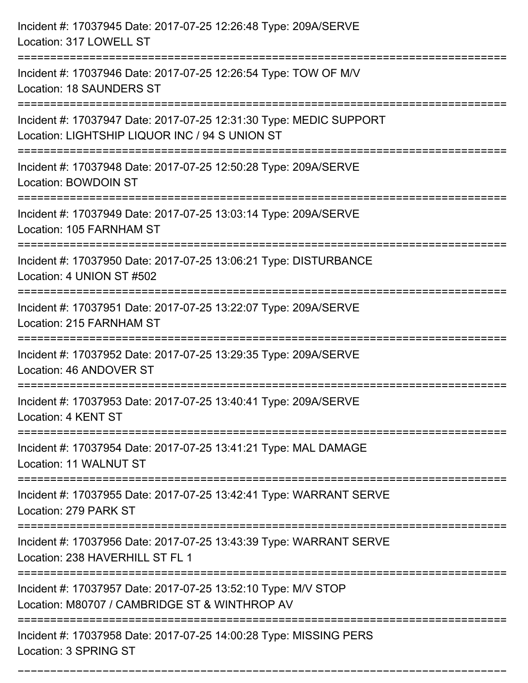| Incident #: 17037945 Date: 2017-07-25 12:26:48 Type: 209A/SERVE<br>Location: 317 LOWELL ST                                                                                             |
|----------------------------------------------------------------------------------------------------------------------------------------------------------------------------------------|
| Incident #: 17037946 Date: 2017-07-25 12:26:54 Type: TOW OF M/V<br><b>Location: 18 SAUNDERS ST</b>                                                                                     |
| Incident #: 17037947 Date: 2017-07-25 12:31:30 Type: MEDIC SUPPORT<br>Location: LIGHTSHIP LIQUOR INC / 94 S UNION ST<br>===============================<br>=========================== |
| Incident #: 17037948 Date: 2017-07-25 12:50:28 Type: 209A/SERVE<br><b>Location: BOWDOIN ST</b>                                                                                         |
| Incident #: 17037949 Date: 2017-07-25 13:03:14 Type: 209A/SERVE<br>Location: 105 FARNHAM ST                                                                                            |
| Incident #: 17037950 Date: 2017-07-25 13:06:21 Type: DISTURBANCE<br>Location: 4 UNION ST #502                                                                                          |
| Incident #: 17037951 Date: 2017-07-25 13:22:07 Type: 209A/SERVE<br>Location: 215 FARNHAM ST                                                                                            |
| Incident #: 17037952 Date: 2017-07-25 13:29:35 Type: 209A/SERVE<br>Location: 46 ANDOVER ST                                                                                             |
| Incident #: 17037953 Date: 2017-07-25 13:40:41 Type: 209A/SERVE<br>Location: 4 KENT ST                                                                                                 |
| Incident #: 17037954 Date: 2017-07-25 13:41:21 Type: MAL DAMAGE<br>Location: 11 WALNUT ST                                                                                              |
| Incident #: 17037955 Date: 2017-07-25 13:42:41 Type: WARRANT SERVE<br>Location: 279 PARK ST                                                                                            |
| Incident #: 17037956 Date: 2017-07-25 13:43:39 Type: WARRANT SERVE<br>Location: 238 HAVERHILL ST FL 1                                                                                  |
| Incident #: 17037957 Date: 2017-07-25 13:52:10 Type: M/V STOP<br>Location: M80707 / CAMBRIDGE ST & WINTHROP AV                                                                         |
| Incident #: 17037958 Date: 2017-07-25 14:00:28 Type: MISSING PERS<br>Location: 3 SPRING ST                                                                                             |

===========================================================================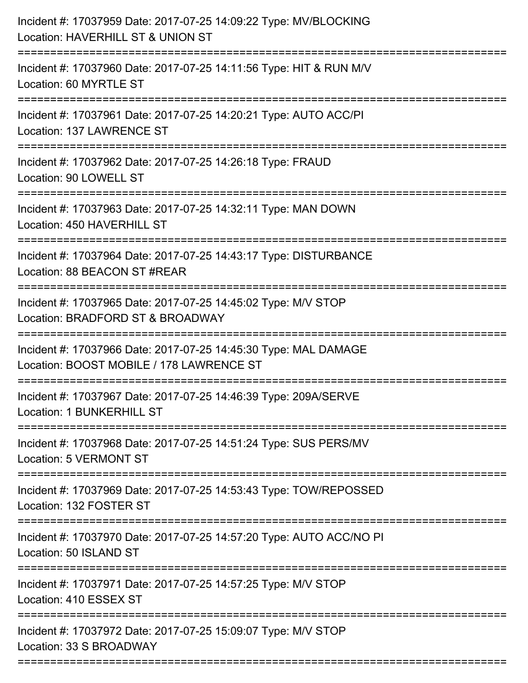| Incident #: 17037959 Date: 2017-07-25 14:09:22 Type: MV/BLOCKING<br>Location: HAVERHILL ST & UNION ST                                  |
|----------------------------------------------------------------------------------------------------------------------------------------|
| Incident #: 17037960 Date: 2017-07-25 14:11:56 Type: HIT & RUN M/V<br>Location: 60 MYRTLE ST                                           |
| Incident #: 17037961 Date: 2017-07-25 14:20:21 Type: AUTO ACC/PI<br>Location: 137 LAWRENCE ST<br>===================================== |
| Incident #: 17037962 Date: 2017-07-25 14:26:18 Type: FRAUD<br>Location: 90 LOWELL ST                                                   |
| Incident #: 17037963 Date: 2017-07-25 14:32:11 Type: MAN DOWN<br>Location: 450 HAVERHILL ST                                            |
| Incident #: 17037964 Date: 2017-07-25 14:43:17 Type: DISTURBANCE<br>Location: 88 BEACON ST #REAR                                       |
| Incident #: 17037965 Date: 2017-07-25 14:45:02 Type: M/V STOP<br>Location: BRADFORD ST & BROADWAY                                      |
| Incident #: 17037966 Date: 2017-07-25 14:45:30 Type: MAL DAMAGE<br>Location: BOOST MOBILE / 178 LAWRENCE ST                            |
| Incident #: 17037967 Date: 2017-07-25 14:46:39 Type: 209A/SERVE<br>Location: 1 BUNKERHILL ST                                           |
| Incident #: 17037968 Date: 2017-07-25 14:51:24 Type: SUS PERS/MV<br><b>Location: 5 VERMONT ST</b>                                      |
| Incident #: 17037969 Date: 2017-07-25 14:53:43 Type: TOW/REPOSSED<br>Location: 132 FOSTER ST                                           |
| Incident #: 17037970 Date: 2017-07-25 14:57:20 Type: AUTO ACC/NO PI<br>Location: 50 ISLAND ST                                          |
| Incident #: 17037971 Date: 2017-07-25 14:57:25 Type: M/V STOP<br>Location: 410 ESSEX ST                                                |
| Incident #: 17037972 Date: 2017-07-25 15:09:07 Type: M/V STOP<br>Location: 33 S BROADWAY                                               |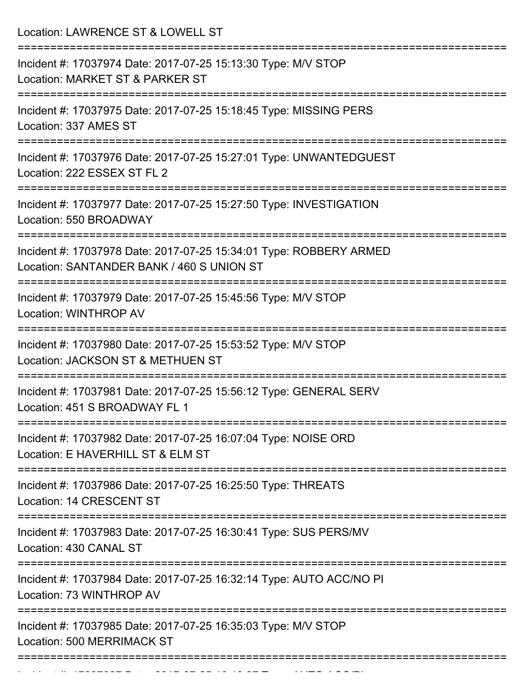Location: LAWRENCE ST & LOWELL ST =========================================================================== Incident #: 17037974 Date: 2017-07-25 15:13:30 Type: M/V STOP Location: MARKET ST & PARKER ST =========================================================================== Incident #: 17037975 Date: 2017-07-25 15:18:45 Type: MISSING PERS Location: 337 AMES ST =========================================================================== Incident #: 17037976 Date: 2017-07-25 15:27:01 Type: UNWANTEDGUEST Location: 222 ESSEX ST FL 2 =========================================================================== Incident #: 17037977 Date: 2017-07-25 15:27:50 Type: INVESTIGATION Location: 550 BROADWAY =========================================================================== Incident #: 17037978 Date: 2017-07-25 15:34:01 Type: ROBBERY ARMED Location: SANTANDER BANK / 460 S UNION ST =========================================================================== Incident #: 17037979 Date: 2017-07-25 15:45:56 Type: M/V STOP Location: WINTHROP AV =========================================================================== Incident #: 17037980 Date: 2017-07-25 15:53:52 Type: M/V STOP Location: JACKSON ST & METHUEN ST =========================================================================== Incident #: 17037981 Date: 2017-07-25 15:56:12 Type: GENERAL SERV Location: 451 S BROADWAY FL 1 =========================================================================== Incident #: 17037982 Date: 2017-07-25 16:07:04 Type: NOISE ORD Location: E HAVERHILL ST & ELM ST =========================================================================== Incident #: 17037986 Date: 2017-07-25 16:25:50 Type: THREATS Location: 14 CRESCENT ST =========================================================================== Incident #: 17037983 Date: 2017-07-25 16:30:41 Type: SUS PERS/MV Location: 430 CANAL ST =========================================================================== Incident #: 17037984 Date: 2017-07-25 16:32:14 Type: AUTO ACC/NO PI Location: 73 WINTHROP AV =========================================================================== Incident #: 17037985 Date: 2017-07-25 16:35:03 Type: M/V STOP Location: 500 MERRIMACK ST ===========================================================================

Incident #: 17037987 Date: 2017 07 25 16:46:37 Type: 2017 07 25 16:46:37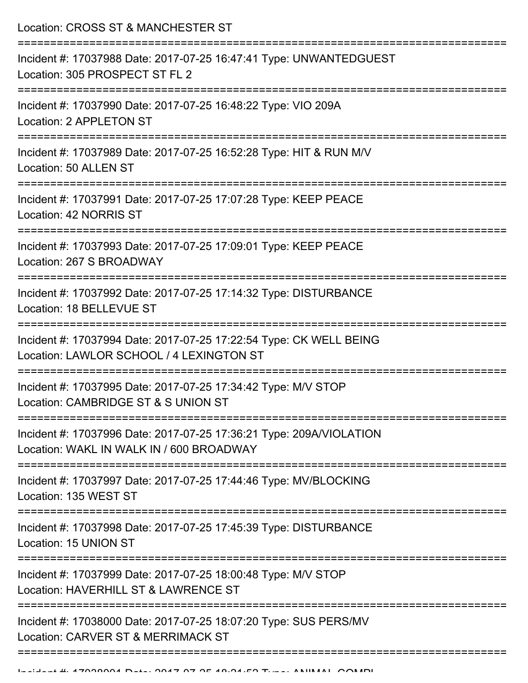Location: CROSS ST & MANCHESTER ST

| Incident #: 17037988 Date: 2017-07-25 16:47:41 Type: UNWANTEDGUEST<br>Location: 305 PROSPECT ST FL 2             |
|------------------------------------------------------------------------------------------------------------------|
| Incident #: 17037990 Date: 2017-07-25 16:48:22 Type: VIO 209A<br>Location: 2 APPLETON ST                         |
| Incident #: 17037989 Date: 2017-07-25 16:52:28 Type: HIT & RUN M/V<br>Location: 50 ALLEN ST                      |
| Incident #: 17037991 Date: 2017-07-25 17:07:28 Type: KEEP PEACE<br>Location: 42 NORRIS ST                        |
| Incident #: 17037993 Date: 2017-07-25 17:09:01 Type: KEEP PEACE<br>Location: 267 S BROADWAY                      |
| Incident #: 17037992 Date: 2017-07-25 17:14:32 Type: DISTURBANCE<br>Location: 18 BELLEVUE ST<br>---------------- |
| Incident #: 17037994 Date: 2017-07-25 17:22:54 Type: CK WELL BEING<br>Location: LAWLOR SCHOOL / 4 LEXINGTON ST   |
| Incident #: 17037995 Date: 2017-07-25 17:34:42 Type: M/V STOP<br>Location: CAMBRIDGE ST & S UNION ST             |
| Incident #: 17037996 Date: 2017-07-25 17:36:21 Type: 209A/VIOLATION<br>Location: WAKL IN WALK IN / 600 BROADWAY  |
| Incident #: 17037997 Date: 2017-07-25 17:44:46 Type: MV/BLOCKING<br>Location: 135 WEST ST                        |
| Incident #: 17037998 Date: 2017-07-25 17:45:39 Type: DISTURBANCE<br>Location: 15 UNION ST                        |
| Incident #: 17037999 Date: 2017-07-25 18:00:48 Type: M/V STOP<br>Location: HAVERHILL ST & LAWRENCE ST            |
| Incident #: 17038000 Date: 2017-07-25 18:07:20 Type: SUS PERS/MV<br>Location: CARVER ST & MERRIMACK ST           |
|                                                                                                                  |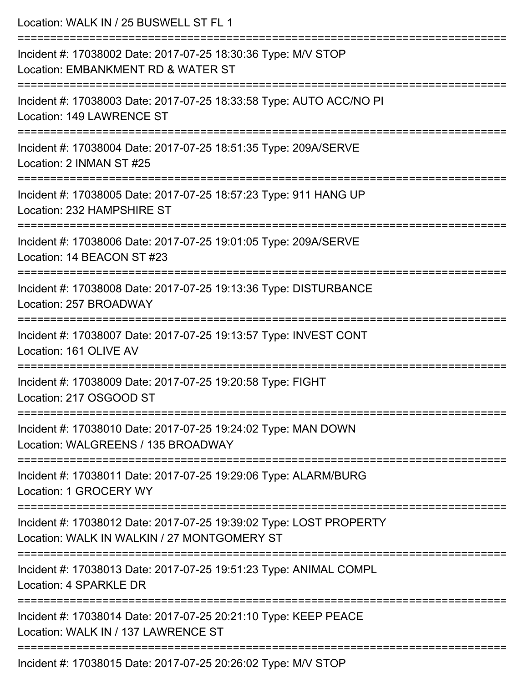| Location: WALK IN / 25 BUSWELL ST FL 1                                                                                       |
|------------------------------------------------------------------------------------------------------------------------------|
| Incident #: 17038002 Date: 2017-07-25 18:30:36 Type: M/V STOP<br>Location: EMBANKMENT RD & WATER ST<br>:==================== |
| Incident #: 17038003 Date: 2017-07-25 18:33:58 Type: AUTO ACC/NO PI<br>Location: 149 LAWRENCE ST                             |
| Incident #: 17038004 Date: 2017-07-25 18:51:35 Type: 209A/SERVE<br>Location: 2 INMAN ST #25                                  |
| Incident #: 17038005 Date: 2017-07-25 18:57:23 Type: 911 HANG UP<br>Location: 232 HAMPSHIRE ST                               |
| Incident #: 17038006 Date: 2017-07-25 19:01:05 Type: 209A/SERVE<br>Location: 14 BEACON ST #23                                |
| Incident #: 17038008 Date: 2017-07-25 19:13:36 Type: DISTURBANCE<br>Location: 257 BROADWAY                                   |
| Incident #: 17038007 Date: 2017-07-25 19:13:57 Type: INVEST CONT<br>Location: 161 OLIVE AV                                   |
| Incident #: 17038009 Date: 2017-07-25 19:20:58 Type: FIGHT<br>Location: 217 OSGOOD ST                                        |
| Incident #: 17038010 Date: 2017-07-25 19:24:02 Type: MAN DOWN<br>Location: WALGREENS / 135 BROADWAY                          |
| Incident #: 17038011 Date: 2017-07-25 19:29:06 Type: ALARM/BURG<br>Location: 1 GROCERY WY                                    |
| Incident #: 17038012 Date: 2017-07-25 19:39:02 Type: LOST PROPERTY<br>Location: WALK IN WALKIN / 27 MONTGOMERY ST            |
| Incident #: 17038013 Date: 2017-07-25 19:51:23 Type: ANIMAL COMPL<br>Location: 4 SPARKLE DR                                  |
| Incident #: 17038014 Date: 2017-07-25 20:21:10 Type: KEEP PEACE<br>Location: WALK IN / 137 LAWRENCE ST                       |
| Incident #: 17038015 Date: 2017-07-25 20:26:02 Type: M/V STOP                                                                |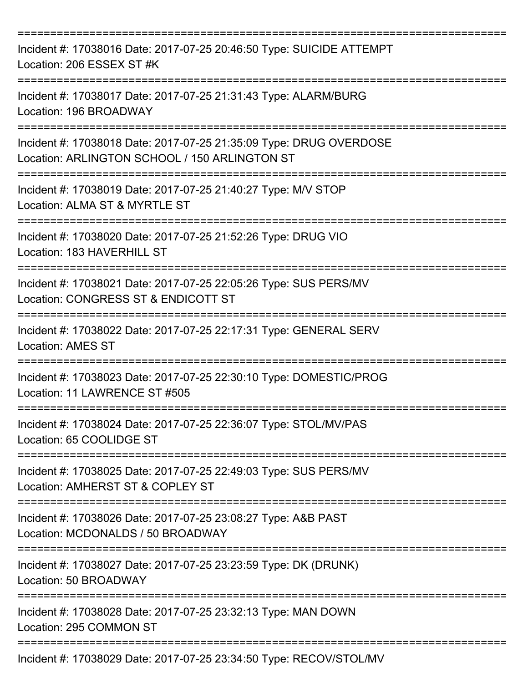| Incident #: 17038016 Date: 2017-07-25 20:46:50 Type: SUICIDE ATTEMPT<br>Location: 206 ESSEX ST #K                           |
|-----------------------------------------------------------------------------------------------------------------------------|
| Incident #: 17038017 Date: 2017-07-25 21:31:43 Type: ALARM/BURG<br>Location: 196 BROADWAY                                   |
| Incident #: 17038018 Date: 2017-07-25 21:35:09 Type: DRUG OVERDOSE<br>Location: ARLINGTON SCHOOL / 150 ARLINGTON ST         |
| Incident #: 17038019 Date: 2017-07-25 21:40:27 Type: M/V STOP<br>Location: ALMA ST & MYRTLE ST                              |
| Incident #: 17038020 Date: 2017-07-25 21:52:26 Type: DRUG VIO<br>Location: 183 HAVERHILL ST                                 |
| Incident #: 17038021 Date: 2017-07-25 22:05:26 Type: SUS PERS/MV<br>Location: CONGRESS ST & ENDICOTT ST<br>,_______________ |
| Incident #: 17038022 Date: 2017-07-25 22:17:31 Type: GENERAL SERV<br><b>Location: AMES ST</b>                               |
| Incident #: 17038023 Date: 2017-07-25 22:30:10 Type: DOMESTIC/PROG<br>Location: 11 LAWRENCE ST #505                         |
| Incident #: 17038024 Date: 2017-07-25 22:36:07 Type: STOL/MV/PAS<br>Location: 65 COOLIDGE ST                                |
| Incident #: 17038025 Date: 2017-07-25 22:49:03 Type: SUS PERS/MV<br>Location: AMHERST ST & COPLEY ST                        |
| Incident #: 17038026 Date: 2017-07-25 23:08:27 Type: A&B PAST<br>Location: MCDONALDS / 50 BROADWAY                          |
| Incident #: 17038027 Date: 2017-07-25 23:23:59 Type: DK (DRUNK)<br>Location: 50 BROADWAY                                    |
| Incident #: 17038028 Date: 2017-07-25 23:32:13 Type: MAN DOWN<br>Location: 295 COMMON ST                                    |
| Incident #: 17038029 Date: 2017-07-25 23:34:50 Type: RECOV/STOL/MV                                                          |